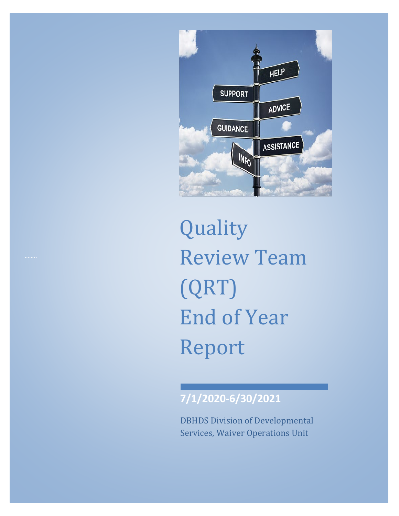

Quality Review Team (QRT) End of Year Report

# **7/1/2020-6/30/2021**

DBHDS Division of Developmental Services, Waiver Operations Unit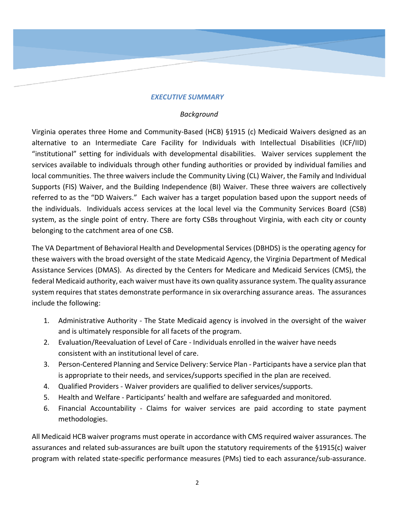#### *EXECUTIVE SUMMARY*

#### *Background*

Virginia operates three Home and Community-Based (HCB) §1915 (c) Medicaid Waivers designed as an alternative to an Intermediate Care Facility for Individuals with Intellectual Disabilities (ICF/IID) "institutional" setting for individuals with developmental disabilities. Waiver services supplement the services available to individuals through other funding authorities or provided by individual families and local communities. The three waivers include the Community Living (CL) Waiver, the Family and Individual Supports (FIS) Waiver, and the Building Independence (BI) Waiver. These three waivers are collectively referred to as the "DD Waivers." Each waiver has a target population based upon the support needs of the individuals. Individuals access services at the local level via the Community Services Board (CSB) system, as the single point of entry. There are forty CSBs throughout Virginia, with each city or county belonging to the catchment area of one CSB.

The VA Department of Behavioral Health and Developmental Services (DBHDS) is the operating agency for these waivers with the broad oversight of the state Medicaid Agency, the Virginia Department of Medical Assistance Services (DMAS). As directed by the Centers for Medicare and Medicaid Services (CMS), the federal Medicaid authority, each waiver must have its own quality assurance system. The quality assurance system requires that states demonstrate performance in six overarching assurance areas. The assurances include the following:

- 1. Administrative Authority The State Medicaid agency is involved in the oversight of the waiver and is ultimately responsible for all facets of the program.
- 2. Evaluation/Reevaluation of Level of Care Individuals enrolled in the waiver have needs consistent with an institutional level of care.
- 3. Person-Centered Planning and Service Delivery: Service Plan Participants have a service plan that is appropriate to their needs, and services/supports specified in the plan are received.
- 4. Qualified Providers Waiver providers are qualified to deliver services/supports.
- 5. Health and Welfare Participants' health and welfare are safeguarded and monitored.
- 6. Financial Accountability Claims for waiver services are paid according to state payment methodologies.

All Medicaid HCB waiver programs must operate in accordance with CMS required waiver assurances. The assurances and related sub-assurances are built upon the statutory requirements of the §1915(c) waiver program with related state-specific performance measures (PMs) tied to each assurance/sub-assurance.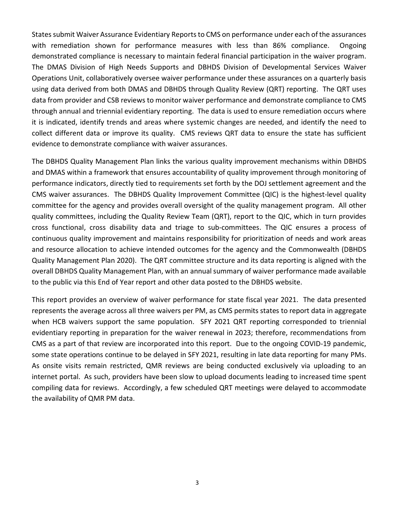States submit Waiver Assurance Evidentiary Reports to CMS on performance under each of the assurances with remediation shown for performance measures with less than 86% compliance. Ongoing demonstrated compliance is necessary to maintain federal financial participation in the waiver program. The DMAS Division of High Needs Supports and DBHDS Division of Developmental Services Waiver Operations Unit, collaboratively oversee waiver performance under these assurances on a quarterly basis using data derived from both DMAS and DBHDS through Quality Review (QRT) reporting. The QRT uses data from provider and CSB reviews to monitor waiver performance and demonstrate compliance to CMS through annual and triennial evidentiary reporting. The data is used to ensure remediation occurs where it is indicated, identify trends and areas where systemic changes are needed, and identify the need to collect different data or improve its quality. CMS reviews QRT data to ensure the state has sufficient evidence to demonstrate compliance with waiver assurances.

The DBHDS Quality Management Plan links the various quality improvement mechanisms within DBHDS and DMAS within a framework that ensures accountability of quality improvement through monitoring of performance indicators, directly tied to requirements set forth by the DOJ settlement agreement and the CMS waiver assurances. The DBHDS Quality Improvement Committee (QIC) is the highest-level quality committee for the agency and provides overall oversight of the quality management program. All other quality committees, including the Quality Review Team (QRT), report to the QIC, which in turn provides cross functional, cross disability data and triage to sub-committees. The QIC ensures a process of continuous quality improvement and maintains responsibility for prioritization of needs and work areas and resource allocation to achieve intended outcomes for the agency and the Commonwealth (DBHDS Quality Management Plan 2020). The QRT committee structure and its data reporting is aligned with the overall DBHDS Quality Management Plan, with an annual summary of waiver performance made available to the public via this End of Year report and other data posted to the DBHDS website.

This report provides an overview of waiver performance for state fiscal year 2021. The data presented represents the average across all three waivers per PM, as CMS permits states to report data in aggregate when HCB waivers support the same population. SFY 2021 QRT reporting corresponded to triennial evidentiary reporting in preparation for the waiver renewal in 2023; therefore, recommendations from CMS as a part of that review are incorporated into this report. Due to the ongoing COVID-19 pandemic, some state operations continue to be delayed in SFY 2021, resulting in late data reporting for many PMs. As onsite visits remain restricted, QMR reviews are being conducted exclusively via uploading to an internet portal. As such, providers have been slow to upload documents leading to increased time spent compiling data for reviews. Accordingly, a few scheduled QRT meetings were delayed to accommodate the availability of QMR PM data.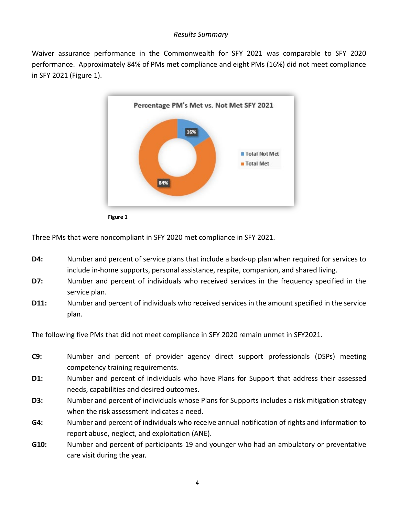#### *Results Summary*

Waiver assurance performance in the Commonwealth for SFY 2021 was comparable to SFY 2020 performance. Approximately 84% of PMs met compliance and eight PMs (16%) did not meet compliance in SFY 2021 (Figure 1).



Three PMs that were noncompliant in SFY 2020 met compliance in SFY 2021.

- **D4:** Number and percent of service plans that include a back-up plan when required for services to include in-home supports, personal assistance, respite, companion, and shared living.
- **D7:** Number and percent of individuals who received services in the frequency specified in the service plan.
- **D11:** Number and percent of individuals who received services in the amount specified in the service plan.

The following five PMs that did not meet compliance in SFY 2020 remain unmet in SFY2021.

- **C9:** Number and percent of provider agency direct support professionals (DSPs) meeting competency training requirements.
- **D1:** Number and percent of individuals who have Plans for Support that address their assessed needs, capabilities and desired outcomes.
- **D3:** Number and percent of individuals whose Plans for Supports includes a risk mitigation strategy when the risk assessment indicates a need.
- **G4:** Number and percent of individuals who receive annual notification of rights and information to report abuse, neglect, and exploitation (ANE).
- **G10:** Number and percent of participants 19 and younger who had an ambulatory or preventative care visit during the year.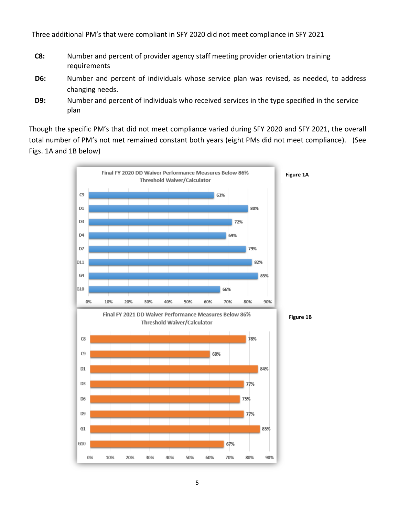Three additional PM's that were compliant in SFY 2020 did not meet compliance in SFY 2021

- **C8:** Number and percent of provider agency staff meeting provider orientation training requirements
- **D6:** Number and percent of individuals whose service plan was revised, as needed, to address changing needs.
- **D9:** Number and percent of individuals who received services in the type specified in the service plan

Though the specific PM's that did not meet compliance varied during SFY 2020 and SFY 2021, the overall total number of PM's not met remained constant both years (eight PMs did not meet compliance). (See Figs. 1A and 1B below)

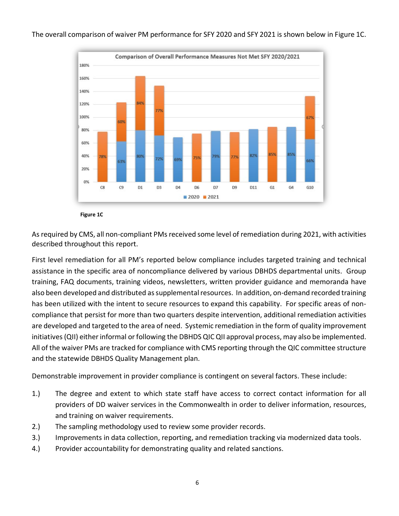The overall comparison of waiver PM performance for SFY 2020 and SFY 2021 is shown below in Figure 1C.



**Figure 1C**

As required by CMS, all non-compliant PMs received some level of remediation during 2021, with activities described throughout this report.

First level remediation for all PM's reported below compliance includes targeted training and technical assistance in the specific area of noncompliance delivered by various DBHDS departmental units. Group training, FAQ documents, training videos, newsletters, written provider guidance and memoranda have also been developed and distributed as supplemental resources. In addition, on-demand recorded training has been utilized with the intent to secure resources to expand this capability. For specific areas of noncompliance that persist for more than two quarters despite intervention, additional remediation activities are developed and targeted to the area of need. Systemic remediation in the form of quality improvement initiatives(QII) either informal or following the DBHDS QIC QII approval process, may also be implemented. All of the waiver PMs are tracked for compliance with CMS reporting through the QIC committee structure and the statewide DBHDS Quality Management plan.

Demonstrable improvement in provider compliance is contingent on several factors. These include:

- 1.) The degree and extent to which state staff have access to correct contact information for all providers of DD waiver services in the Commonwealth in order to deliver information, resources, and training on waiver requirements.
- 2.) The sampling methodology used to review some provider records.
- 3.) Improvements in data collection, reporting, and remediation tracking via modernized data tools.
- 4.) Provider accountability for demonstrating quality and related sanctions.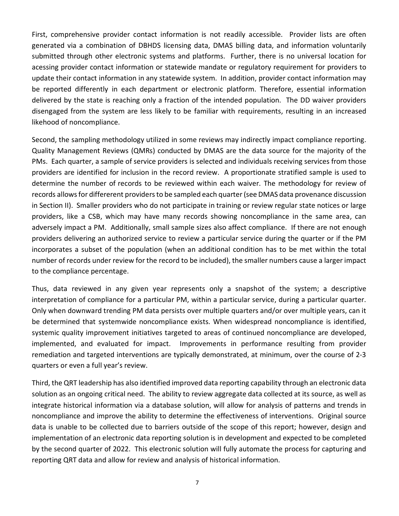First, comprehensive provider contact information is not readily accessible. Provider lists are often generated via a combination of DBHDS licensing data, DMAS billing data, and information voluntarily submitted through other electronic systems and platforms. Further, there is no universal location for acessing provider contact information or statewide mandate or regulatory requirement for providers to update their contact information in any statewide system. In addition, provider contact information may be reported differently in each department or electronic platform. Therefore, essential information delivered by the state is reaching only a fraction of the intended population. The DD waiver providers disengaged from the system are less likely to be familiar with requirements, resulting in an increased likehood of noncompliance.

Second, the sampling methodology utilized in some reviews may indirectly impact compliance reporting. Quality Management Reviews (QMRs) conducted by DMAS are the data source for the majority of the PMs. Each quarter, a sample of service providers is selected and individuals receiving services from those providers are identified for inclusion in the record review. A proportionate stratified sample is used to determine the number of records to be reviewed within each waiver. The methodology for review of records allows for differerent providers to be sampled each quarter (see DMAS data provenance discussion in Section II). Smaller providers who do not participate in training or review regular state notices or large providers, like a CSB, which may have many records showing noncompliance in the same area, can adversely impact a PM. Additionally, small sample sizes also affect compliance. If there are not enough providers delivering an authorized service to review a particular service during the quarter or if the PM incorporates a subset of the population (when an additional condition has to be met within the total number of records under review for the record to be included), the smaller numbers cause a larger impact to the compliance percentage.

Thus, data reviewed in any given year represents only a snapshot of the system; a descriptive interpretation of compliance for a particular PM, within a particular service, during a particular quarter. Only when downward trending PM data persists over multiple quarters and/or over multiple years, can it be determined that systemwide noncompliance exists. When widespread noncompliance is identified, systemic quality improvement initiatives targeted to areas of continued noncompliance are developed, implemented, and evaluated for impact. Improvements in performance resulting from provider remediation and targeted interventions are typically demonstrated, at minimum, over the course of 2-3 quarters or even a full year's review.

Third, the QRT leadership has also identified improved data reporting capability through an electronic data solution as an ongoing critical need. The ability to review aggregate data collected at its source, as well as integrate historical information via a database solution, will allow for analysis of patterns and trends in noncompliance and improve the ability to determine the effectiveness of interventions. Original source data is unable to be collected due to barriers outside of the scope of this report; however, design and implementation of an electronic data reporting solution is in development and expected to be completed by the second quarter of 2022. This electronic solution will fully automate the process for capturing and reporting QRT data and allow for review and analysis of historical information.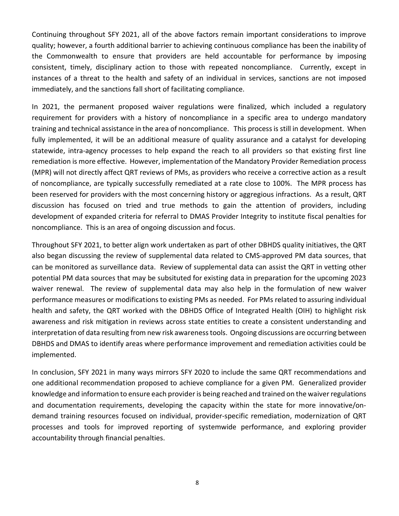Continuing throughout SFY 2021, all of the above factors remain important considerations to improve quality; however, a fourth additional barrier to achieving continuous compliance has been the inability of the Commonwealth to ensure that providers are held accountable for performance by imposing consistent, timely, disciplinary action to those with repeated noncompliance. Currently, except in instances of a threat to the health and safety of an individual in services, sanctions are not imposed immediately, and the sanctions fall short of facilitating compliance.

In 2021, the permanent proposed waiver regulations were finalized, which included a regulatory requirement for providers with a history of noncompliance in a specific area to undergo mandatory training and technical assistance in the area of noncompliance. This process is still in development. When fully implemented, it will be an additional measure of quality assurance and a catalyst for developing statewide, intra-agency processes to help expand the reach to all providers so that existing first line remediation is more effective. However, implementation of the Mandatory Provider Remediation process (MPR) will not directly affect QRT reviews of PMs, as providers who receive a corrective action as a result of noncompliance, are typically successfully remediated at a rate close to 100%. The MPR process has been reserved for providers with the most concerning history or aggregious infractions. As a result, QRT discussion has focused on tried and true methods to gain the attention of providers, including development of expanded criteria for referral to DMAS Provider Integrity to institute fiscal penalties for noncompliance. This is an area of ongoing discussion and focus.

Throughout SFY 2021, to better align work undertaken as part of other DBHDS quality initiatives, the QRT also began discussing the review of supplemental data related to CMS-approved PM data sources, that can be monitored as surveillance data. Review of supplemental data can assist the QRT in vetting other potential PM data sources that may be subsituted for existing data in preparation for the upcoming 2023 waiver renewal. The review of supplemental data may also help in the formulation of new waiver performance measures or modifications to existing PMs as needed. For PMs related to assuring individual health and safety, the QRT worked with the DBHDS Office of Integrated Health (OIH) to highlight risk awareness and risk mitigation in reviews across state entities to create a consistent understanding and interpretation of data resulting from new risk awareness tools. Ongoing discussions are occurring between DBHDS and DMAS to identify areas where performance improvement and remediation activities could be implemented.

In conclusion, SFY 2021 in many ways mirrors SFY 2020 to include the same QRT recommendations and one additional recommendation proposed to achieve compliance for a given PM. Generalized provider knowledge and information to ensure each provider is being reached and trained on the waiver regulations and documentation requirements, developing the capacity within the state for more innovative/ondemand training resources focused on individual, provider-specific remediation, modernization of QRT processes and tools for improved reporting of systemwide performance, and exploring provider accountability through financial penalties.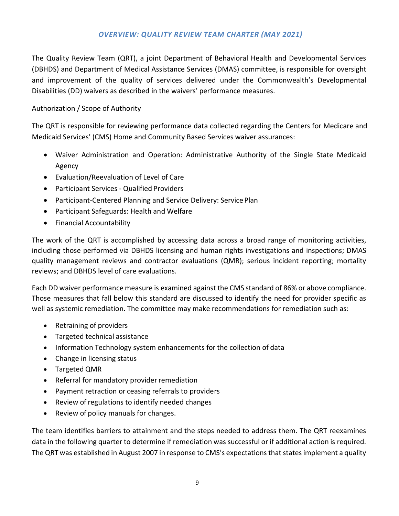### *OVERVIEW: QUALITY REVIEW TEAM CHARTER (MAY 2021)*

The Quality Review Team (QRT), a joint Department of Behavioral Health and Developmental Services (DBHDS) and Department of Medical Assistance Services (DMAS) committee, is responsible for oversight and improvement of the quality of services delivered under the Commonwealth's Developmental Disabilities (DD) waivers as described in the waivers' performance measures.

### Authorization / Scope of Authority

The QRT is responsible for reviewing performance data collected regarding the Centers for Medicare and Medicaid Services' (CMS) Home and Community Based Services waiver assurances:

- Waiver Administration and Operation: Administrative Authority of the Single State Medicaid Agency
- Evaluation/Reevaluation of Level of Care
- Participant Services Qualified Providers
- Participant-Centered Planning and Service Delivery: Service Plan
- Participant Safeguards: Health and Welfare
- Financial Accountability

The work of the QRT is accomplished by accessing data across a broad range of monitoring activities, including those performed via DBHDS licensing and human rights investigations and inspections; DMAS quality management reviews and contractor evaluations (QMR); serious incident reporting; mortality reviews; and DBHDS level of care evaluations.

Each DD waiver performance measure is examined against the CMS standard of 86% or above compliance. Those measures that fall below this standard are discussed to identify the need for provider specific as well as systemic remediation. The committee may make recommendations for remediation such as:

- Retraining of providers
- Targeted technical assistance
- Information Technology system enhancements for the collection of data
- Change in licensing status
- Targeted QMR
- Referral for mandatory provider remediation
- Payment retraction or ceasing referrals to providers
- Review of regulations to identify needed changes
- Review of policy manuals for changes.

The team identifies barriers to attainment and the steps needed to address them. The QRT reexamines data in the following quarter to determine if remediation was successful or if additional action is required. The QRT was established in August 2007 in response to CMS's expectations that states implement a quality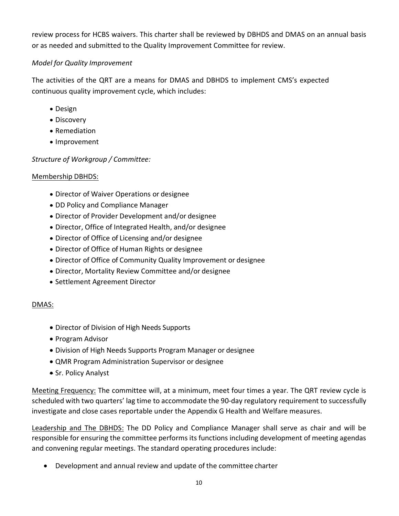review process for HCBS waivers. This charter shall be reviewed by DBHDS and DMAS on an annual basis or as needed and submitted to the Quality Improvement Committee for review.

# *Model for Quality Improvement*

The activities of the QRT are a means for DMAS and DBHDS to implement CMS's expected continuous quality improvement cycle, which includes:

- Design
- Discovery
- Remediation
- Improvement

# *Structure of Workgroup / Committee:*

# Membership DBHDS:

- Director of Waiver Operations or designee
- DD Policy and Compliance Manager
- Director of Provider Development and/or designee
- Director, Office of Integrated Health, and/or designee
- Director of Office of Licensing and/or designee
- Director of Office of Human Rights or designee
- Director of Office of Community Quality Improvement or designee
- Director, Mortality Review Committee and/or designee
- Settlement Agreement Director

# DMAS:

- Director of Division of High Needs Supports
- Program Advisor
- Division of High Needs Supports Program Manager or designee
- QMR Program Administration Supervisor or designee
- Sr. Policy Analyst

Meeting Frequency: The committee will, at a minimum, meet four times a year. The QRT review cycle is scheduled with two quarters' lag time to accommodate the 90-day regulatory requirement to successfully investigate and close cases reportable under the Appendix G Health and Welfare measures.

Leadership and The DBHDS: The DD Policy and Compliance Manager shall serve as chair and will be responsible for ensuring the committee performs its functions including development of meeting agendas and convening regular meetings. The standard operating procedures include:

• Development and annual review and update of the committee charter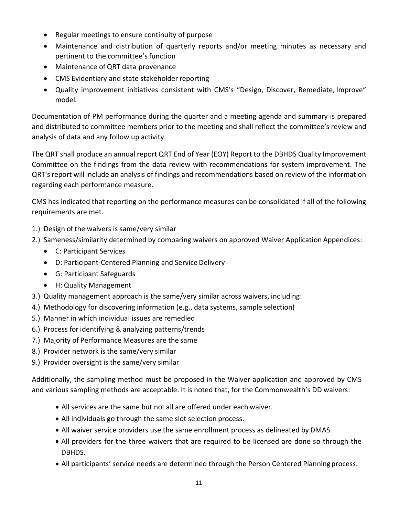- Regular meetings to ensure continuity of purpose
- Maintenance and distribution of quarterly reports and/or meeting minutes as necessary and pertinent to the committee's function
- Maintenance of QRT data provenance
- CMS Evidentiary and state stakeholder reporting
- Quality improvement initiatives consistent with CMS's "Design, Discover, Remediate, Improve" model.

Documentation of PM performance during the quarter and a meeting agenda and summary is prepared and distributed to committee members prior to the meeting and shall reflect the committee's review and analysis of data and any follow up activity.

The QRT shall produce an annual report QRT End of Year (EOY) Report to the DBHDS Quality Improvement Committee on the findings from the data review with recommendations for system improvement. The QRT's report will include an analysis of findings and recommendations based on review of the information regarding each performance measure.

CMS has indicated that reporting on the performance measures can be consolidated if all of the following requirements are met.

- 1.) Design of the waivers is same/very similar
- 2.) Sameness/similarity determined by comparing waivers on approved Waiver Application Appendices:
	- C: Participant Services
	- D: Participant-Centered Planning and Service Delivery
	- G: Participant Safeguards
	- H: Quality Management
- 3.) Quality management approach is the same/very similar across waivers, including:
- 4.) Methodology for discovering information (e.g., data systems, sample selection)
- 5.) Manner in which individual issues are remedied
- 6.) Process for identifying & analyzing patterns/trends
- 7.) Majority of Performance Measures are the same
- 8.) Provider network is the same/very similar
- 9.) Provider oversight is the same/very similar

Additionally, the sampling method must be proposed in the Waiver application and approved by CMS and various sampling methods are acceptable. It is noted that, for the Commonwealth's DD waivers:

- All services are the same but not all are offered under each waiver.
- All individuals go through the same slot selection process.
- All waiver service providers use the same enrollment process as delineated by DMAS.
- All providers for the three waivers that are required to be licensed are done so through the DBHDS.
- All participants' service needs are determined through the Person Centered Planning process.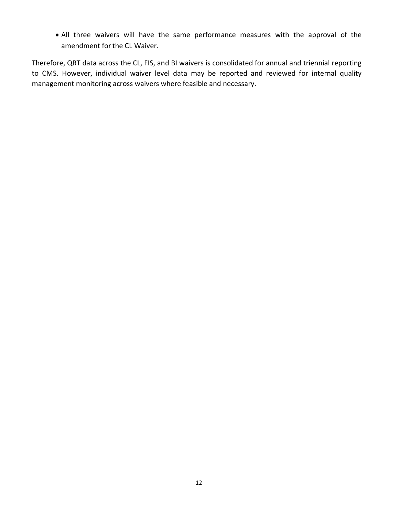• All three waivers will have the same performance measures with the approval of the amendment for the CL Waiver.

Therefore, QRT data across the CL, FIS, and BI waivers is consolidated for annual and triennial reporting to CMS. However, individual waiver level data may be reported and reviewed for internal quality management monitoring across waivers where feasible and necessary.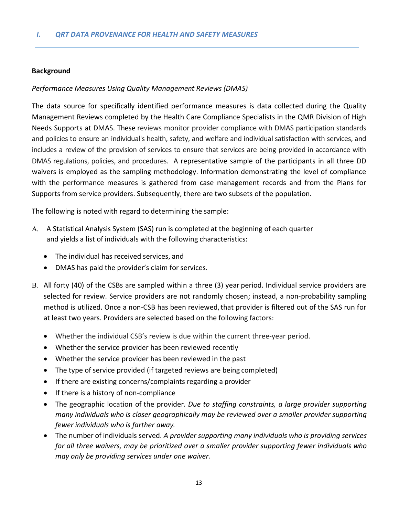#### **Background**

#### *Performance Measures Using Quality Management Reviews (DMAS)*

The data source for specifically identified performance measures is data collected during the Quality Management Reviews completed by the Health Care Compliance Specialists in the QMR Division of High Needs Supports at DMAS. These reviews monitor provider compliance with DMAS participation standards and policies to ensure an individual's health, safety, and welfare and individual satisfaction with services, and includes a review of the provision of services to ensure that services are being provided in accordance with DMAS regulations, policies, and procedures. A representative sample of the participants in all three DD waivers is employed as the sampling methodology. Information demonstrating the level of compliance with the performance measures is gathered from case management records and from the Plans for Supports from service providers. Subsequently, there are two subsets of the population.

The following is noted with regard to determining the sample:

- A. A Statistical Analysis System (SAS) run is completed at the beginning of each quarter and yields a list of individuals with the following characteristics:
	- The individual has received services, and
	- DMAS has paid the provider's claim for services.
- B. All forty (40) of the CSBs are sampled within a three (3) year period. Individual service providers are selected for review. Service providers are not randomly chosen; instead, a non-probability sampling method is utilized. Once a non-CSB has been reviewed,that provider is filtered out of the SAS run for at least two years. Providers are selected based on the following factors:
	- Whether the individual CSB's review is due within the current three-year period.
	- Whether the service provider has been reviewed recently
	- Whether the service provider has been reviewed in the past
	- The type of service provided (if targeted reviews are being completed)
	- If there are existing concerns/complaints regarding a provider
	- If there is a history of non-compliance
	- The geographic location of the provider. *Due to staffing constraints, a large provider supporting many individuals who is closer geographically may be reviewed over a smaller provider supporting fewer individuals who is farther away.*
	- The number of individuals served. *A provider supporting many individuals who is providing services for all three waivers, may be prioritized over a smaller provider supporting fewer individuals who may only be providing services under one waiver.*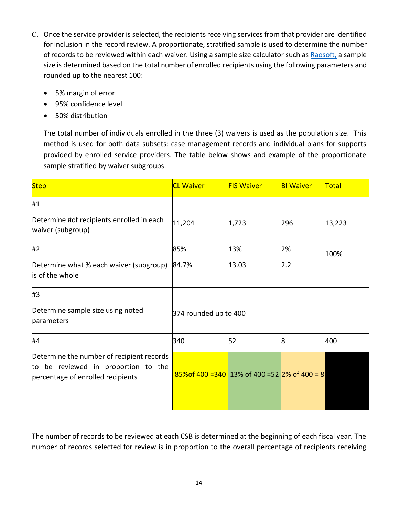- C. Once the service provider is selected, the recipients receiving services from that provider are identified for inclusion in the record review. A proportionate, stratified sample is used to determine the number of records to be reviewed within each waiver. Using a sample size calculator such as [Raosoft,](http://www.raosoft.com/samplesize.html) a sample size is determined based on the total number of enrolled recipients using the following parameters and rounded up to the nearest 100:
	- 5% margin of error
	- 95% confidence level
	- 50% distribution

The total number of individuals enrolled in the three (3) waivers is used as the population size. This method is used for both data subsets: case management records and individual plans for supports provided by enrolled service providers. The table below shows and example of the proportionate sample stratified by waiver subgroups.

| <b>Step</b>                                                                                                           | <b>CL Waiver</b>                                  | <b>FIS Waiver</b> | <b>BI Waiver</b> | Total  |  |
|-----------------------------------------------------------------------------------------------------------------------|---------------------------------------------------|-------------------|------------------|--------|--|
| #1                                                                                                                    |                                                   |                   |                  |        |  |
| Determine #of recipients enrolled in each<br>waiver (subgroup)                                                        | 11,204                                            | 1,723             | 296              | 13,223 |  |
| #2                                                                                                                    | 85%                                               | 13%               | 2%               | 100%   |  |
| Determine what % each waiver (subgroup)<br>is of the whole                                                            | 84.7%                                             | 13.03             | 2.2              |        |  |
| #3                                                                                                                    |                                                   |                   |                  |        |  |
| Determine sample size using noted<br>parameters                                                                       | 374 rounded up to 400                             |                   |                  |        |  |
| #4                                                                                                                    | 340                                               | 52                | 8                | 400    |  |
| Determine the number of recipient records<br>to be reviewed in proportion to the<br>percentage of enrolled recipients | $85\%$ of 400 = 340 13% of 400 = 52 2% of 400 = 8 |                   |                  |        |  |

The number of records to be reviewed at each CSB is determined at the beginning of each fiscal year. The number of records selected for review is in proportion to the overall percentage of recipients receiving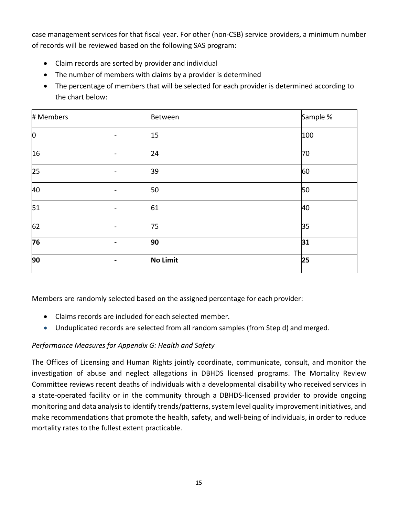case management services for that fiscal year. For other (non-CSB) service providers, a minimum number of records will be reviewed based on the following SAS program:

- Claim records are sorted by provider and individual
- The number of members with claims by a provider is determined
- The percentage of members that will be selected for each provider is determined according to the chart below:

| # Members      |                              | Between  | Sample % |
|----------------|------------------------------|----------|----------|
| $\overline{0}$ | $\qquad \qquad \blacksquare$ | 15       | 100      |
| 16             | $\overline{\phantom{0}}$     | 24       | 70       |
| 25             | $\qquad \qquad \blacksquare$ | 39       | 60       |
| 40             | $\qquad \qquad \blacksquare$ | 50       | 50       |
| 51             | $\qquad \qquad \blacksquare$ | 61       | 40       |
| 62             | $\overline{a}$               | 75       | 35       |
| 76             | -                            | 90       | 31       |
| 90             | $\blacksquare$               | No Limit | 25       |

Members are randomly selected based on the assigned percentage for each provider:

- Claims records are included for each selected member.
- Unduplicated records are selected from all random samples (from Step d) and merged.

# *Performance Measures for Appendix G: Health and Safety*

The Offices of Licensing and Human Rights jointly coordinate, communicate, consult, and monitor the investigation of abuse and neglect allegations in DBHDS licensed programs. The Mortality Review Committee reviews recent deaths of individuals with a developmental disability who received services in a state-operated facility or in the community through a DBHDS-licensed provider to provide ongoing monitoring and data analysis to identify trends/patterns, system level quality improvement initiatives, and make recommendations that promote the health, safety, and well-being of individuals, in order to reduce mortality rates to the fullest extent practicable.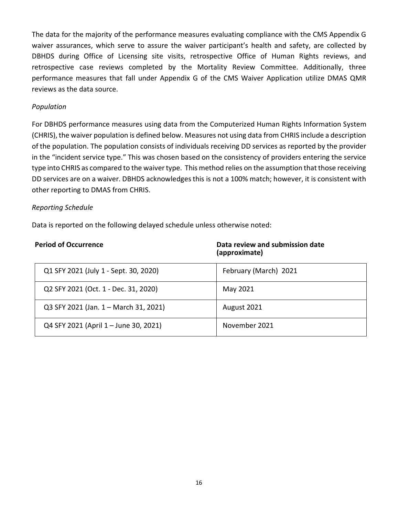The data for the majority of the performance measures evaluating compliance with the CMS Appendix G waiver assurances, which serve to assure the waiver participant's health and safety, are collected by DBHDS during Office of Licensing site visits, retrospective Office of Human Rights reviews, and retrospective case reviews completed by the Mortality Review Committee. Additionally, three performance measures that fall under Appendix G of the CMS Waiver Application utilize DMAS QMR reviews as the data source.

#### *Population*

For DBHDS performance measures using data from the Computerized Human Rights Information System (CHRIS), the waiver population is defined below. Measures not using data from CHRIS include a description of the population. The population consists of individuals receiving DD services as reported by the provider in the "incident service type." This was chosen based on the consistency of providers entering the service type into CHRIS as compared to the waiver type. This method relies on the assumption that those receiving DD services are on a waiver. DBHDS acknowledges this is not a 100% match; however, it is consistent with other reporting to DMAS from CHRIS.

#### *Reporting Schedule*

Data is reported on the following delayed schedule unless otherwise noted:

| <b>Period of Occurrence</b>           | Data review and submission date<br>(approximate) |
|---------------------------------------|--------------------------------------------------|
| Q1 SFY 2021 (July 1 - Sept. 30, 2020) | February (March) 2021                            |
| Q2 SFY 2021 (Oct. 1 - Dec. 31, 2020)  | May 2021                                         |
| Q3 SFY 2021 (Jan. 1 - March 31, 2021) | August 2021                                      |
| Q4 SFY 2021 (April 1 - June 30, 2021) | November 2021                                    |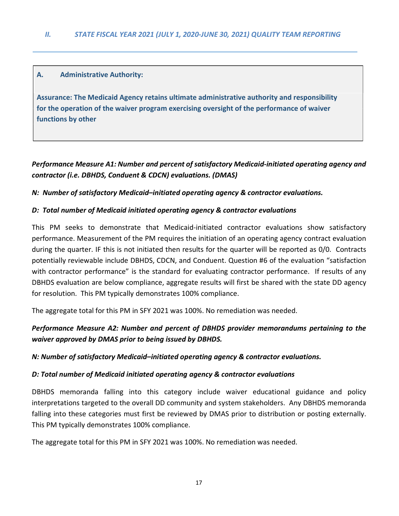#### **A. Administrative Authority:**

**Assurance: The Medicaid Agency retains ultimate administrative authority and responsibility for the operation of the waiver program exercising oversight of the performance of waiver functions by other**

# *Performance Measure A1: Number and percent of satisfactory Medicaid-initiated operating agency and contractor (i.e. DBHDS, Conduent & CDCN) evaluations. (DMAS)*

*N: Number of satisfactory Medicaid–initiated operating agency & contractor evaluations.*

#### *D: Total number of Medicaid initiated operating agency & contractor evaluations*

This PM seeks to demonstrate that Medicaid-initiated contractor evaluations show satisfactory performance. Measurement of the PM requires the initiation of an operating agency contract evaluation during the quarter. IF this is not initiated then results for the quarter will be reported as 0/0. Contracts potentially reviewable include DBHDS, CDCN, and Conduent. Question #6 of the evaluation "satisfaction with contractor performance" is the standard for evaluating contractor performance. If results of any DBHDS evaluation are below compliance, aggregate results will first be shared with the state DD agency for resolution. This PM typically demonstrates 100% compliance.

The aggregate total for this PM in SFY 2021 was 100%. No remediation was needed.

# *Performance Measure A2: Number and percent of DBHDS provider memorandums pertaining to the waiver approved by DMAS prior to being issued by DBHDS.*

#### *N: Number of satisfactory Medicaid–initiated operating agency & contractor evaluations.*

#### *D: Total number of Medicaid initiated operating agency & contractor evaluations*

DBHDS memoranda falling into this category include waiver educational guidance and policy interpretations targeted to the overall DD community and system stakeholders. Any DBHDS memoranda falling into these categories must first be reviewed by DMAS prior to distribution or posting externally. This PM typically demonstrates 100% compliance.

The aggregate total for this PM in SFY 2021 was 100%. No remediation was needed.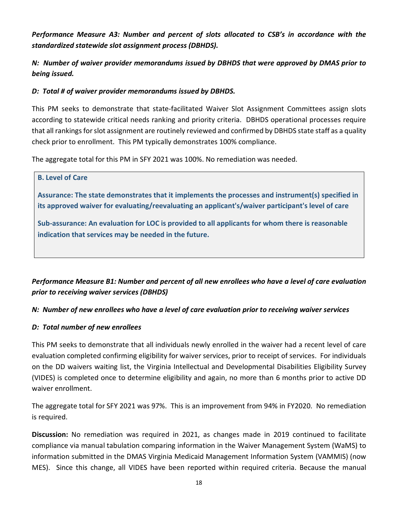*Performance Measure A3: Number and percent of slots allocated to CSB's in accordance with the standardized statewide slot assignment process (DBHDS).*

*N: Number of waiver provider memorandums issued by DBHDS that were approved by DMAS prior to being issued.*

### *D: Total # of waiver provider memorandums issued by DBHDS.*

This PM seeks to demonstrate that state-facilitated Waiver Slot Assignment Committees assign slots according to statewide critical needs ranking and priority criteria. DBHDS operational processes require that all rankings for slot assignment are routinely reviewed and confirmed by DBHDS state staff as a quality check prior to enrollment. This PM typically demonstrates 100% compliance.

The aggregate total for this PM in SFY 2021 was 100%. No remediation was needed.

# **B. Level of Care**

**Assurance: The state demonstrates that it implements the processes and instrument(s) specified in its approved waiver for evaluating/reevaluating an applicant's/waiver participant's level of care**

**Sub-assurance: An evaluation for LOC is provided to all applicants for whom there is reasonable indication that services may be needed in the future.**

# *Performance Measure B1: Number and percent of all new enrollees who have a level of care evaluation prior to receiving waiver services (DBHDS)*

### *N: Number of new enrollees who have a level of care evaluation prior to receiving waiver services*

### *D: Total number of new enrollees*

This PM seeks to demonstrate that all individuals newly enrolled in the waiver had a recent level of care evaluation completed confirming eligibility for waiver services, prior to receipt of services. For individuals on the DD waivers waiting list, the Virginia Intellectual and Developmental Disabilities Eligibility Survey (VIDES) is completed once to determine eligibility and again, no more than 6 months prior to active DD waiver enrollment.

The aggregate total for SFY 2021 was 97%. This is an improvement from 94% in FY2020. No remediation is required.

**Discussion:** No remediation was required in 2021, as changes made in 2019 continued to facilitate compliance via manual tabulation comparing information in the Waiver Management System (WaMS) to information submitted in the DMAS Virginia Medicaid Management Information System (VAMMIS) (now MES). Since this change, all VIDES have been reported within required criteria. Because the manual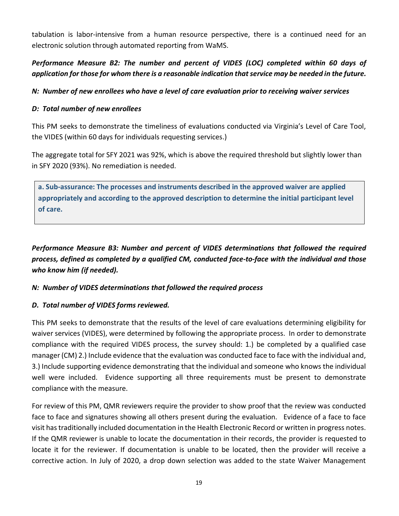tabulation is labor-intensive from a human resource perspective, there is a continued need for an electronic solution through automated reporting from WaMS.

# *Performance Measure B2: The number and percent of VIDES (LOC) completed within 60 days of application for those for whom there is a reasonable indication that service may be needed in the future.*

### *N: Number of new enrollees who have a level of care evaluation prior to receiving waiver services*

### *D: Total number of new enrollees*

This PM seeks to demonstrate the timeliness of evaluations conducted via Virginia's Level of Care Tool, the VIDES (within 60 days for individuals requesting services.)

The aggregate total for SFY 2021 was 92%, which is above the required threshold but slightly lower than in SFY 2020 (93%). No remediation is needed.

**a. Sub-assurance: The processes and instruments described in the approved waiver are applied appropriately and according to the approved description to determine the initial participant level of care.**

*Performance Measure B3: Number and percent of VIDES determinations that followed the required process, defined as completed by a qualified CM, conducted face-to-face with the individual and those who know him (if needed).*

### *N: Number of VIDES determinations that followed the required process*

# *D. Total number of VIDES forms reviewed.*

This PM seeks to demonstrate that the results of the level of care evaluations determining eligibility for waiver services (VIDES), were determined by following the appropriate process. In order to demonstrate compliance with the required VIDES process, the survey should: 1.) be completed by a qualified case manager (CM) 2.) Include evidence that the evaluation was conducted face to face with the individual and, 3.) Include supporting evidence demonstrating that the individual and someone who knows the individual well were included. Evidence supporting all three requirements must be present to demonstrate compliance with the measure.

For review of this PM, QMR reviewers require the provider to show proof that the review was conducted face to face and signatures showing all others present during the evaluation. Evidence of a face to face visit has traditionally included documentation in the Health Electronic Record or written in progress notes. If the QMR reviewer is unable to locate the documentation in their records, the provider is requested to locate it for the reviewer. If documentation is unable to be located, then the provider will receive a corrective action. In July of 2020, a drop down selection was added to the state Waiver Management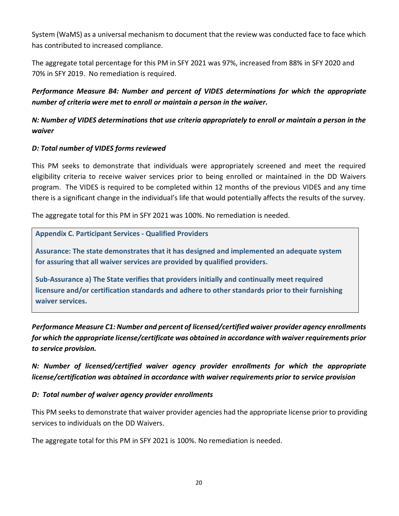System (WaMS) as a universal mechanism to document that the review was conducted face to face which has contributed to increased compliance.

The aggregate total percentage for this PM in SFY 2021 was 97%, increased from 88% in SFY 2020 and 70% in SFY 2019. No remediation is required.

*Performance Measure B4: Number and percent of VIDES determinations for which the appropriate number of criteria were met to enroll or maintain a person in the waiver.*

# *N: Number of VIDES determinations that use criteria appropriately to enroll or maintain a person in the waiver*

### *D: Total number of VIDES forms reviewed*

This PM seeks to demonstrate that individuals were appropriately screened and meet the required eligibility criteria to receive waiver services prior to being enrolled or maintained in the DD Waivers program. The VIDES is required to be completed within 12 months of the previous VIDES and any time there is a significant change in the individual's life that would potentially affects the results of the survey.

The aggregate total for this PM in SFY 2021 was 100%. No remediation is needed.

**Appendix C. Participant Services - Qualified Providers**

**Assurance: The state demonstrates that it has designed and implemented an adequate system for assuring that all waiver services are provided by qualified providers.**

**Sub-Assurance a) The State verifies that providers initially and continually meet required licensure and/or certification standards and adhere to other standards prior to their furnishing waiver services.**

*Performance Measure C1: Number and percent of licensed/certified waiver provider agency enrollments for which the appropriate license/certificate was obtained in accordance with waiver requirements prior to service provision.*

*N: Number of licensed/certified waiver agency provider enrollments for which the appropriate license/certification was obtained in accordance with waiver requirements prior to service provision*

### *D: Total number of waiver agency provider enrollments*

This PM seeks to demonstrate that waiver provider agencies had the appropriate license prior to providing services to individuals on the DD Waivers.

The aggregate total for this PM in SFY 2021 is 100%. No remediation is needed.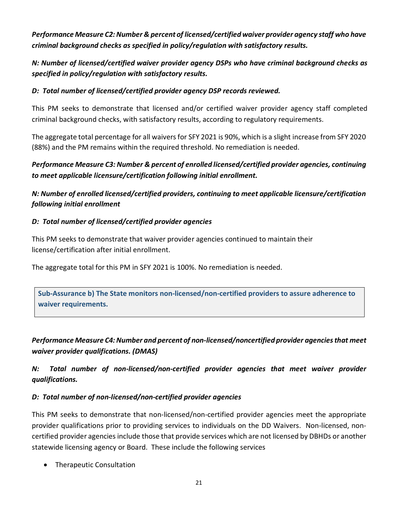*Performance Measure C2: Number & percent of licensed/certified waiver provider agency staff who have criminal background checks as specified in policy/regulation with satisfactory results.*

*N: Number of licensed/certified waiver provider agency DSPs who have criminal background checks as specified in policy/regulation with satisfactory results.*

### *D: Total number of licensed/certified provider agency DSP records reviewed.*

This PM seeks to demonstrate that licensed and/or certified waiver provider agency staff completed criminal background checks, with satisfactory results, according to regulatory requirements.

The aggregate total percentage for all waivers for SFY 2021 is 90%, which is a slight increase from SFY 2020 (88%) and the PM remains within the required threshold. No remediation is needed.

*Performance Measure C3: Number & percent of enrolled licensed/certified provider agencies, continuing to meet applicable licensure/certification following initial enrollment.*

*N: Number of enrolled licensed/certified providers, continuing to meet applicable licensure/certification following initial enrollment*

### *D: Total number of licensed/certified provider agencies*

This PM seeks to demonstrate that waiver provider agencies continued to maintain their license/certification after initial enrollment.

The aggregate total for this PM in SFY 2021 is 100%. No remediation is needed.

**Sub-Assurance b) The State monitors non-licensed/non-certified providers to assure adherence to waiver requirements.**

*Performance Measure C4: Number and percent of non-licensed/noncertified provider agencies that meet waiver provider qualifications. (DMAS)*

*N: Total number of non-licensed/non-certified provider agencies that meet waiver provider qualifications.*

### *D: Total number of non-licensed/non-certified provider agencies*

This PM seeks to demonstrate that non-licensed/non-certified provider agencies meet the appropriate provider qualifications prior to providing services to individuals on the DD Waivers. Non-licensed, noncertified provider agencies include those that provide services which are not licensed by DBHDs or another statewide licensing agency or Board. These include the following services

• Therapeutic Consultation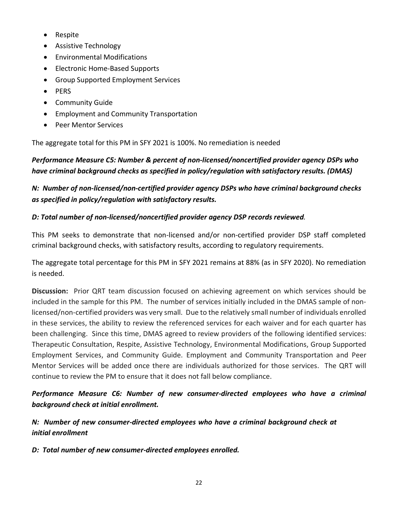- Respite
- Assistive Technology
- Environmental Modifications
- Electronic Home-Based Supports
- Group Supported Employment Services
- PERS
- Community Guide
- Employment and Community Transportation
- Peer Mentor Services

The aggregate total for this PM in SFY 2021 is 100%. No remediation is needed

# *Performance Measure C5: Number & percent of non-licensed/noncertified provider agency DSPs who have criminal background checks as specified in policy/regulation with satisfactory results. (DMAS)*

# *N: Number of non-licensed/non-certified provider agency DSPs who have criminal background checks as specified in policy/regulation with satisfactory results.*

# *D: Total number of non-licensed/noncertified provider agency DSP records reviewed.*

This PM seeks to demonstrate that non-licensed and/or non-certified provider DSP staff completed criminal background checks, with satisfactory results, according to regulatory requirements.

The aggregate total percentage for this PM in SFY 2021 remains at 88% (as in SFY 2020). No remediation is needed.

**Discussion:** Prior QRT team discussion focused on achieving agreement on which services should be included in the sample for this PM. The number of services initially included in the DMAS sample of nonlicensed/non-certified providers was very small. Due to the relatively small number of individuals enrolled in these services, the ability to review the referenced services for each waiver and for each quarter has been challenging. Since this time, DMAS agreed to review providers of the following identified services: Therapeutic Consultation, Respite, Assistive Technology, Environmental Modifications, Group Supported Employment Services, and Community Guide. Employment and Community Transportation and Peer Mentor Services will be added once there are individuals authorized for those services. The QRT will continue to review the PM to ensure that it does not fall below compliance.

*Performance Measure C6: Number of new consumer-directed employees who have a criminal background check at initial enrollment.*

*N: Number of new consumer-directed employees who have a criminal background check at initial enrollment*

*D: Total number of new consumer-directed employees enrolled.*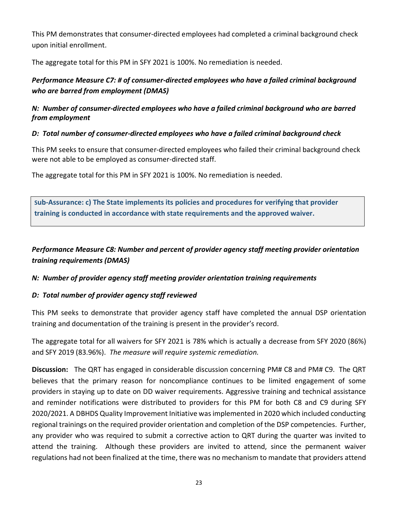This PM demonstrates that consumer-directed employees had completed a criminal background check upon initial enrollment.

The aggregate total for this PM in SFY 2021 is 100%. No remediation is needed.

# *Performance Measure C7: # of consumer-directed employees who have a failed criminal background who are barred from employment (DMAS)*

### *N: Number of consumer-directed employees who have a failed criminal background who are barred from employment*

### *D: Total number of consumer-directed employees who have a failed criminal background check*

This PM seeks to ensure that consumer-directed employees who failed their criminal background check were not able to be employed as consumer-directed staff.

The aggregate total for this PM in SFY 2021 is 100%. No remediation is needed.

**Sub-Assurance: c) The State implements its policies and procedures for verifying that provider training is conducted in accordance with state requirements and the approved waiver.**

# *Performance Measure C8: Number and percent of provider agency staff meeting provider orientation training requirements (DMAS)*

# *N: Number of provider agency staff meeting provider orientation training requirements*

# *D: Total number of provider agency staff reviewed*

This PM seeks to demonstrate that provider agency staff have completed the annual DSP orientation training and documentation of the training is present in the provider's record.

The aggregate total for all waivers for SFY 2021 is 78% which is actually a decrease from SFY 2020 (86%) and SFY 2019 (83.96%). *The measure will require systemic remediation.*

**Discussion:** The QRT has engaged in considerable discussion concerning PM# C8 and PM# C9. The QRT believes that the primary reason for noncompliance continues to be limited engagement of some providers in staying up to date on DD waiver requirements. Aggressive training and technical assistance and reminder notifications were distributed to providers for this PM for both C8 and C9 during SFY 2020/2021. A DBHDS Quality Improvement Initiative was implemented in 2020 which included conducting regional trainings on the required provider orientation and completion of the DSP competencies. Further, any provider who was required to submit a corrective action to QRT during the quarter was invited to attend the training. Although these providers are invited to attend, since the permanent waiver regulations had not been finalized at the time, there was no mechanism to mandate that providers attend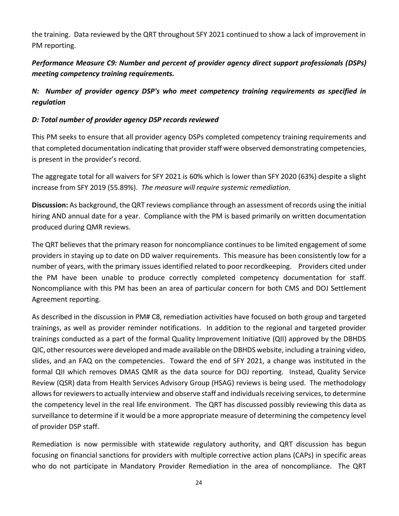the training. Data reviewed by the QRT throughout SFY 2021 continued to show a lack of improvement in PM reporting.

# *Performance Measure C9: Number and percent of provider agency direct support professionals (DSPs) meeting competency training requirements.*

# *N: Number of provider agency DSP's who meet competency training requirements as specified in regulation*

### *D: Total number of provider agency DSP records reviewed*

This PM seeks to ensure that all provider agency DSPs completed competency training requirements and that completed documentation indicating that provider staff were observed demonstrating competencies, is present in the provider's record.

The aggregate total for all waivers for SFY 2021 is 60% which is lower than SFY 2020 (63%) despite a slight increase from SFY 2019 (55.89%). *The measure will require systemic remediation.*

**Discussion:** As background, the QRT reviews compliance through an assessment of records using the initial hiring AND annual date for a year. Compliance with the PM is based primarily on written documentation produced during QMR reviews.

The QRT believes that the primary reason for noncompliance continues to be limited engagement of some providers in staying up to date on DD waiver requirements. This measure has been consistently low for a number of years, with the primary issues identified related to poor recordkeeping. Providers cited under the PM have been unable to produce correctly completed competency documentation for staff. Noncompliance with this PM has been an area of particular concern for both CMS and DOJ Settlement Agreement reporting.

As described in the discussion in PM# C8, remediation activities have focused on both group and targeted trainings, as well as provider reminder notifications. In addition to the regional and targeted provider trainings conducted as a part of the formal Quality Improvement Initiative (QII) approved by the DBHDS QIC, other resources were developed and made available on the DBHDS website, including a training video, slides, and an FAQ on the competencies. Toward the end of SFY 2021, a change was instituted in the formal QII which removes DMAS QMR as the data source for DOJ reporting. Instead, Quality Service Review (QSR) data from Health Services Advisory Group (HSAG) reviews is being used. The methodology allows for reviewers to actually interview and observe staff and individuals receiving services, to determine the competency level in the real life environment. The QRT has discussed possibly reviewing this data as surveillance to determine if it would be a more appropriate measure of determining the competency level of provider DSP staff.

Remediation is now permissible with statewide regulatory authority, and QRT discussion has begun focusing on financial sanctions for providers with multiple corrective action plans (CAPs) in specific areas who do not participate in Mandatory Provider Remediation in the area of noncompliance. The QRT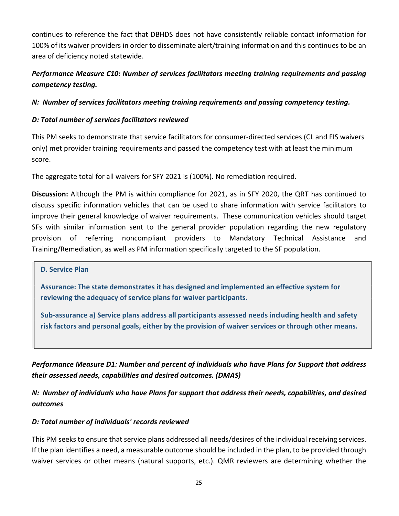continues to reference the fact that DBHDS does not have consistently reliable contact information for 100% of its waiver providers in order to disseminate alert/training information and this continues to be an area of deficiency noted statewide.

# *Performance Measure C10: Number of services facilitators meeting training requirements and passing competency testing.*

# *N: Number of services facilitators meeting training requirements and passing competency testing.*

### *D: Total number of services facilitators reviewed*

This PM seeks to demonstrate that service facilitators for consumer-directed services (CL and FIS waivers only) met provider training requirements and passed the competency test with at least the minimum score.

The aggregate total for all waivers for SFY 2021 is (100%). No remediation required.

**Discussion:** Although the PM is within compliance for 2021, as in SFY 2020, the QRT has continued to discuss specific information vehicles that can be used to share information with service facilitators to improve their general knowledge of waiver requirements. These communication vehicles should target SFs with similar information sent to the general provider population regarding the new regulatory provision of referring noncompliant providers to Mandatory Technical Assistance and Training/Remediation, as well as PM information specifically targeted to the SF population.

**D. Service Plan**

**Assurance: The state demonstrates it has designed and implemented an effective system for reviewing the adequacy of service plans for waiver participants.**

**Sub-assurance a) Service plans address all participants assessed needs including health and safety risk factors and personal goals, either by the provision of waiver services or through other means.**

*Performance Measure D1: Number and percent of individuals who have Plans for Support that address their assessed needs, capabilities and desired outcomes. (DMAS)*

*N: Number of individuals who have Plans for support that address their needs, capabilities, and desired outcomes*

### *D: Total number of individuals' records reviewed*

This PM seeks to ensure that service plans addressed all needs/desires of the individual receiving services. If the plan identifies a need, a measurable outcome should be included in the plan, to be provided through waiver services or other means (natural supports, etc.). QMR reviewers are determining whether the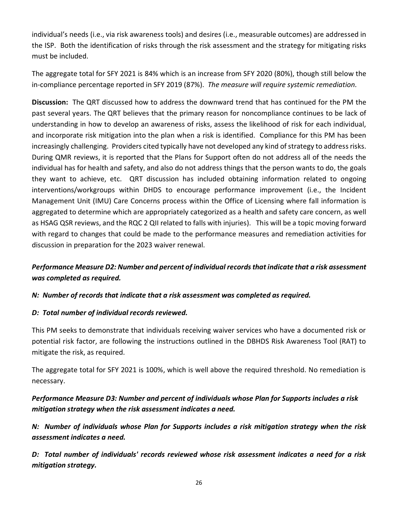individual's needs (i.e., via risk awareness tools) and desires (i.e., measurable outcomes) are addressed in the ISP. Both the identification of risks through the risk assessment and the strategy for mitigating risks must be included.

The aggregate total for SFY 2021 is 84% which is an increase from SFY 2020 (80%), though still below the in-compliance percentage reported in SFY 2019 (87%). *The measure will require systemic remediation.*

**Discussion:** The QRT discussed how to address the downward trend that has continued for the PM the past several years. The QRT believes that the primary reason for noncompliance continues to be lack of understanding in how to develop an awareness of risks, assess the likelihood of risk for each individual, and incorporate risk mitigation into the plan when a risk is identified. Compliance for this PM has been increasingly challenging. Providers cited typically have not developed any kind of strategy to address risks. During QMR reviews, it is reported that the Plans for Support often do not address all of the needs the individual has for health and safety, and also do not address things that the person wants to do, the goals they want to achieve, etc. QRT discussion has included obtaining information related to ongoing interventions/workgroups within DHDS to encourage performance improvement (i.e., the Incident Management Unit (IMU) Care Concerns process within the Office of Licensing where fall information is aggregated to determine which are appropriately categorized as a health and safety care concern, as well as HSAG QSR reviews, and the RQC 2 QII related to falls with injuries). This will be a topic moving forward with regard to changes that could be made to the performance measures and remediation activities for discussion in preparation for the 2023 waiver renewal.

# *Performance Measure D2: Number and percent of individual records that indicate that a risk assessment was completed as required.*

# *N: Number of records that indicate that a risk assessment was completed as required.*

### *D: Total number of individual records reviewed.*

This PM seeks to demonstrate that individuals receiving waiver services who have a documented risk or potential risk factor, are following the instructions outlined in the DBHDS Risk Awareness Tool (RAT) to mitigate the risk, as required.

The aggregate total for SFY 2021 is 100%, which is well above the required threshold. No remediation is necessary.

*Performance Measure D3: Number and percent of individuals whose Plan for Supports includes a risk mitigation strategy when the risk assessment indicates a need.*

*N: Number of individuals whose Plan for Supports includes a risk mitigation strategy when the risk assessment indicates a need.*

*D: Total number of individuals' records reviewed whose risk assessment indicates a need for a risk mitigation strategy.*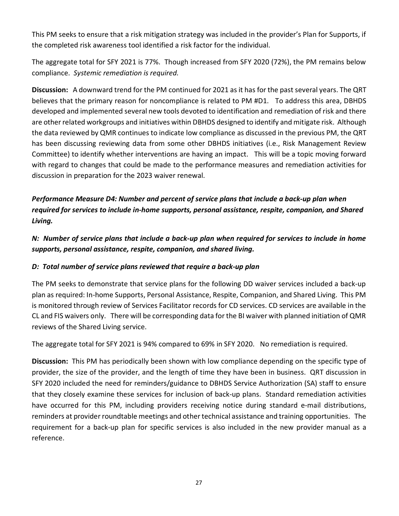This PM seeks to ensure that a risk mitigation strategy was included in the provider's Plan for Supports, if the completed risk awareness tool identified a risk factor for the individual.

The aggregate total for SFY 2021 is 77%. Though increased from SFY 2020 (72%), the PM remains below compliance. *Systemic remediation is required.*

**Discussion:** A downward trend for the PM continued for 2021 as it has for the past several years. The QRT believes that the primary reason for noncompliance is related to PM #D1. To address this area, DBHDS developed and implemented several new tools devoted to identification and remediation of risk and there are other related workgroups and initiatives within DBHDS designed to identify and mitigate risk. Although the data reviewed by QMR continues to indicate low compliance as discussed in the previous PM, the QRT has been discussing reviewing data from some other DBHDS initiatives (i.e., Risk Management Review Committee) to identify whether interventions are having an impact. This will be a topic moving forward with regard to changes that could be made to the performance measures and remediation activities for discussion in preparation for the 2023 waiver renewal.

*Performance Measure D4: Number and percent of service plans that include a back-up plan when required for services to include in-home supports, personal assistance, respite, companion, and Shared Living.*

*N: Number of service plans that include a back-up plan when required for services to include in home supports, personal assistance, respite, companion, and shared living.*

# *D: Total number of service plans reviewed that require a back-up plan*

The PM seeks to demonstrate that service plans for the following DD waiver services included a back-up plan as required: In-home Supports, Personal Assistance, Respite, Companion, and Shared Living. This PM is monitored through review of Services Facilitator records for CD services. CD services are available in the CL and FIS waivers only. There will be corresponding data for the BI waiver with planned initiation of QMR reviews of the Shared Living service.

The aggregate total for SFY 2021 is 94% compared to 69% in SFY 2020. No remediation is required.

**Discussion:** This PM has periodically been shown with low compliance depending on the specific type of provider, the size of the provider, and the length of time they have been in business. QRT discussion in SFY 2020 included the need for reminders/guidance to DBHDS Service Authorization (SA) staff to ensure that they closely examine these services for inclusion of back-up plans. Standard remediation activities have occurred for this PM, including providers receiving notice during standard e-mail distributions, reminders at provider roundtable meetings and other technical assistance and training opportunities. The requirement for a back-up plan for specific services is also included in the new provider manual as a reference.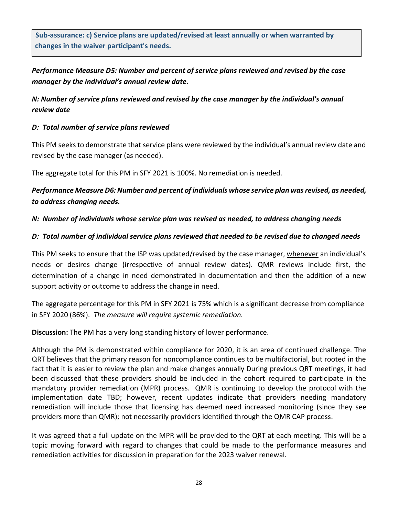**Sub-assurance: c) Service plans are updated/revised at least annually or when warranted by changes in the waiver participant's needs.**

*Performance Measure D5: Number and percent of service plans reviewed and revised by the case manager by the individual's annual review date.*

*N: Number of service plans reviewed and revised by the case manager by the individual's annual review date*

#### *D: Total number of service plans reviewed*

This PM seeks to demonstrate that service plans were reviewed by the individual's annual review date and revised by the case manager (as needed).

The aggregate total for this PM in SFY 2021 is 100%. No remediation is needed.

*Performance Measure D6: Number and percent of individuals whose service plan was revised, as needed, to address changing needs.*

#### *N: Number of individuals whose service plan was revised as needed, to address changing needs*

#### *D: Total number of individual service plans reviewed that needed to be revised due to changed needs*

This PM seeks to ensure that the ISP was updated/revised by the case manager, whenever an individual's needs or desires change (irrespective of annual review dates). QMR reviews include first, the determination of a change in need demonstrated in documentation and then the addition of a new support activity or outcome to address the change in need.

The aggregate percentage for this PM in SFY 2021 is 75% which is a significant decrease from compliance in SFY 2020 (86%). *The measure will require systemic remediation.*

**Discussion:** The PM has a very long standing history of lower performance.

Although the PM is demonstrated within compliance for 2020, it is an area of continued challenge. The QRT believes that the primary reason for noncompliance continues to be multifactorial, but rooted in the fact that it is easier to review the plan and make changes annually During previous QRT meetings, it had been discussed that these providers should be included in the cohort required to participate in the mandatory provider remediation (MPR) process. QMR is continuing to develop the protocol with the implementation date TBD; however, recent updates indicate that providers needing mandatory remediation will include those that licensing has deemed need increased monitoring (since they see providers more than QMR); not necessarily providers identified through the QMR CAP process.

It was agreed that a full update on the MPR will be provided to the QRT at each meeting. This will be a topic moving forward with regard to changes that could be made to the performance measures and remediation activities for discussion in preparation for the 2023 waiver renewal.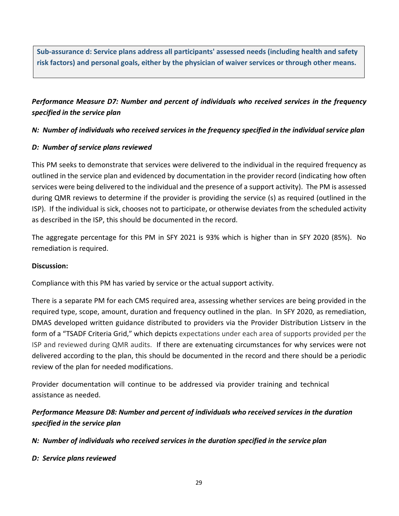**Sub-assurance d: Service plans address all participants' assessed needs (including health and safety risk factors) and personal goals, either by the physician of waiver services or through other means.**

# *Performance Measure D7: Number and percent of individuals who received services in the frequency specified in the service plan*

### *N: Number of individuals who received services in the frequency specified in the individual service plan*

### *D: Number of service plans reviewed*

This PM seeks to demonstrate that services were delivered to the individual in the required frequency as outlined in the service plan and evidenced by documentation in the provider record (indicating how often services were being delivered to the individual and the presence of a support activity). The PM is assessed during QMR reviews to determine if the provider is providing the service (s) as required (outlined in the ISP). If the individual is sick, chooses not to participate, or otherwise deviates from the scheduled activity as described in the ISP, this should be documented in the record.

The aggregate percentage for this PM in SFY 2021 is 93% which is higher than in SFY 2020 (85%). No remediation is required.

### **Discussion:**

Compliance with this PM has varied by service or the actual support activity.

There is a separate PM for each CMS required area, assessing whether services are being provided in the required type, scope, amount, duration and frequency outlined in the plan. In SFY 2020, as remediation, DMAS developed written guidance distributed to providers via the Provider Distribution Listserv in the form of a "TSADF Criteria Grid," which depicts expectations under each area of supports provided per the ISP and reviewed during QMR audits. If there are extenuating circumstances for why services were not delivered according to the plan, this should be documented in the record and there should be a periodic review of the plan for needed modifications.

Provider documentation will continue to be addressed via provider training and technical assistance as needed.

# *Performance Measure D8: Number and percent of individuals who received services in the duration specified in the service plan*

*N: Number of individuals who received services in the duration specified in the service plan*

### *D: Service plans reviewed*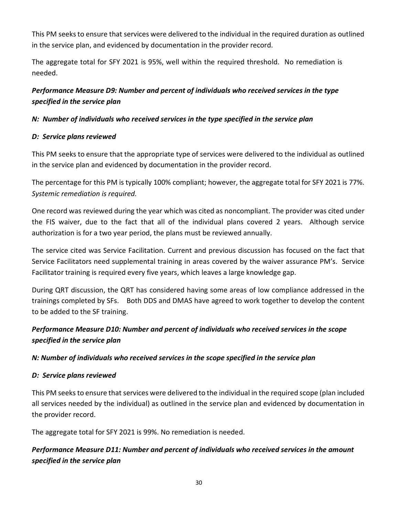This PM seeks to ensure that services were delivered to the individual in the required duration as outlined in the service plan, and evidenced by documentation in the provider record.

The aggregate total for SFY 2021 is 95%, well within the required threshold. No remediation is needed.

# *Performance Measure D9: Number and percent of individuals who received services in the type specified in the service plan*

# *N: Number of individuals who received services in the type specified in the service plan*

# *D: Service plans reviewed*

This PM seeks to ensure that the appropriate type of services were delivered to the individual as outlined in the service plan and evidenced by documentation in the provider record.

The percentage for this PM is typically 100% compliant; however, the aggregate total for SFY 2021 is 77%. *Systemic remediation is required.*

One record was reviewed during the year which was cited as noncompliant. The provider was cited under the FIS waiver, due to the fact that all of the individual plans covered 2 years. Although service authorization is for a two year period, the plans must be reviewed annually.

The service cited was Service Facilitation. Current and previous discussion has focused on the fact that Service Facilitators need supplemental training in areas covered by the waiver assurance PM's. Service Facilitator training is required every five years, which leaves a large knowledge gap.

During QRT discussion, the QRT has considered having some areas of low compliance addressed in the trainings completed by SFs. Both DDS and DMAS have agreed to work together to develop the content to be added to the SF training.

# *Performance Measure D10: Number and percent of individuals who received services in the scope specified in the service plan*

# *N: Number of individuals who received services in the scope specified in the service plan*

# *D: Service plans reviewed*

This PM seeks to ensure that services were delivered to the individual in the required scope (plan included all services needed by the individual) as outlined in the service plan and evidenced by documentation in the provider record.

The aggregate total for SFY 2021 is 99%. No remediation is needed.

# *Performance Measure D11: Number and percent of individuals who received services in the amount specified in the service plan*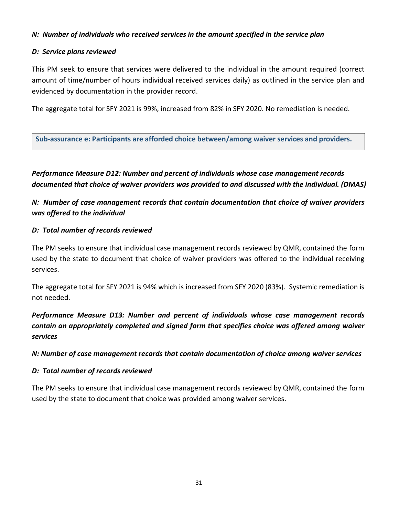#### *N: Number of individuals who received services in the amount specified in the service plan*

#### *D: Service plans reviewed*

This PM seek to ensure that services were delivered to the individual in the amount required (correct amount of time/number of hours individual received services daily) as outlined in the service plan and evidenced by documentation in the provider record.

The aggregate total for SFY 2021 is 99%, increased from 82% in SFY 2020. No remediation is needed.

**Sub-assurance e: Participants are afforded choice between/among waiver services and providers.**

*Performance Measure D12: Number and percent of individuals whose case management records documented that choice of waiver providers was provided to and discussed with the individual. (DMAS)*

*N: Number of case management records that contain documentation that choice of waiver providers was offered to the individual*

#### *D: Total number of records reviewed*

The PM seeks to ensure that individual case management records reviewed by QMR, contained the form used by the state to document that choice of waiver providers was offered to the individual receiving services.

The aggregate total for SFY 2021 is 94% which is increased from SFY 2020 (83%). Systemic remediation is not needed.

*Performance Measure D13: Number and percent of individuals whose case management records contain an appropriately completed and signed form that specifies choice was offered among waiver services*

*N: Number of case management records that contain documentation of choice among waiver services*

### *D: Total number of records reviewed*

The PM seeks to ensure that individual case management records reviewed by QMR, contained the form used by the state to document that choice was provided among waiver services.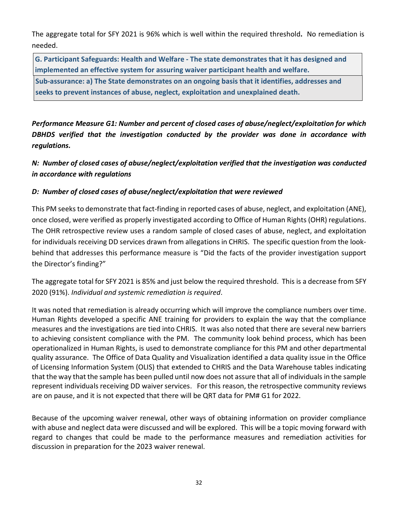The aggregate total for SFY 2021 is 96% which is well within the required threshold**.** No remediation is needed.

**Sub-assurance: a) The State demonstrates on an ongoing basis that it identifies, addresses and G. Participant Safeguards: Health and Welfare - The state demonstrates that it has designed and implemented an effective system for assuring waiver participant health and welfare.**

**seeks to prevent instances of abuse, neglect, exploitation and unexplained death.**

*Performance Measure G1: Number and percent of closed cases of abuse/neglect/exploitation for which DBHDS verified that the investigation conducted by the provider was done in accordance with regulations.*

*N: Number of closed cases of abuse/neglect/exploitation verified that the investigation was conducted in accordance with regulations*

# *D: Number of closed cases of abuse/neglect/exploitation that were reviewed*

This PM seeks to demonstrate that fact-finding in reported cases of abuse, neglect, and exploitation (ANE), once closed, were verified as properly investigated according to Office of Human Rights (OHR) regulations. The OHR retrospective review uses a random sample of closed cases of abuse, neglect, and exploitation for individuals receiving DD services drawn from allegations in CHRIS. The specific question from the lookbehind that addresses this performance measure is "Did the facts of the provider investigation support the Director's finding?"

The aggregate total for SFY 2021 is 85% and just below the required threshold. This is a decrease from SFY 2020 (91%). *Individual and systemic remediation is required*.

It was noted that remediation is already occurring which will improve the compliance numbers over time. Human Rights developed a specific ANE training for providers to explain the way that the compliance measures and the investigations are tied into CHRIS. It was also noted that there are several new barriers to achieving consistent compliance with the PM. The community look behind process, which has been operationalized in Human Rights, is used to demonstrate compliance for this PM and other departmental quality assurance. The Office of Data Quality and Visualization identified a data quality issue in the Office of Licensing Information System (OLIS) that extended to CHRIS and the Data Warehouse tables indicating that the way that the sample has been pulled until now does not assure that all of individuals in the sample represent individuals receiving DD waiver services. For this reason, the retrospective community reviews are on pause, and it is not expected that there will be QRT data for PM# G1 for 2022.

Because of the upcoming waiver renewal, other ways of obtaining information on provider compliance with abuse and neglect data were discussed and will be explored. This will be a topic moving forward with regard to changes that could be made to the performance measures and remediation activities for discussion in preparation for the 2023 waiver renewal.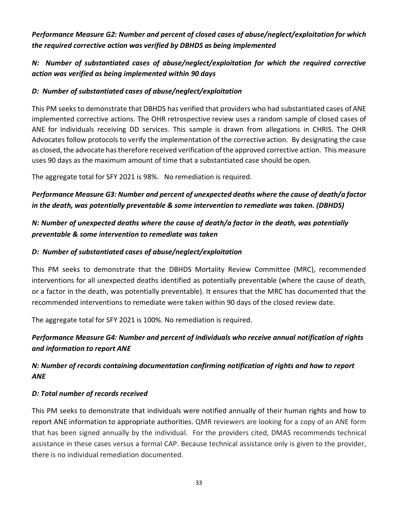*Performance Measure G2: Number and percent of closed cases of abuse/neglect/exploitation for which the required corrective action was verified by DBHDS as being implemented*

*N: Number of substantiated cases of abuse/neglect/exploitation for which the required corrective action was verified as being implemented within 90 days*

### *D: Number of substantiated cases of abuse/neglect/exploitation*

This PM seeks to demonstrate that DBHDS has verified that providers who had substantiated cases of ANE implemented corrective actions. The OHR retrospective review uses a random sample of closed cases of ANE for individuals receiving DD services. This sample is drawn from allegations in CHRIS. The OHR Advocates follow protocols to verify the implementation of the correctiveaction. By designating the case as closed, the advocate has therefore received verification of the approved corrective action. This measure uses 90 days as the maximum amount of time that a substantiated case should be open.

The aggregate total for SFY 2021 is 98%. No remediation is required.

# *Performance Measure G3: Number and percent of unexpected deaths where the cause of death/a factor in the death, was potentially preventable & some intervention to remediate was taken. (DBHDS)*

# *N: Number of unexpected deaths where the cause of death/a factor in the death, was potentially preventable & some intervention to remediate was taken*

# *D: Number of substantiated cases of abuse/neglect/exploitation*

This PM seeks to demonstrate that the DBHDS Mortality Review Committee (MRC), recommended interventions for all unexpected deaths identified as potentially preventable (where the cause of death, or a factor in the death, was potentially preventable). It ensures that the MRC has documented that the recommended interventions to remediate were taken within 90 days of the closed review date.

The aggregate total for SFY 2021 is 100%. No remediation is required.

# *Performance Measure G4: Number and percent of individuals who receive annual notification of rights and information to report ANE*

# *N: Number of records containing documentation confirming notification of rights and how to report ANE*

# *D: Total number of records received*

This PM seeks to demonstrate that individuals were notified annually of their human rights and how to report ANE information to appropriate authorities. QMR reviewers are looking for a copy of an ANE form that has been signed annually by the individual. For the providers cited, DMAS recommends technical assistance in these cases versus a formal CAP. Because technical assistance only is given to the provider, there is no individual remediation documented.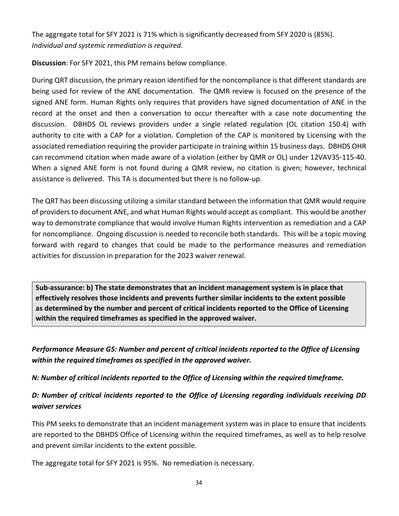The aggregate total for SFY 2021 is 71% which is significantly decreased from SFY 2020 is (85%). *Individual and systemic remediation is required.*

**Discussion**: For SFY 2021, this PM remains below compliance.

During QRT discussion, the primary reason identified for the noncompliance is that different standards are being used for review of the ANE documentation. The QMR review is focused on the presence of the signed ANE form. Human Rights only requires that providers have signed documentation of ANE in the record at the onset and then a conversation to occur thereafter with a case note documenting the discussion. DBHDS OL reviews providers under a single related regulation (OL citation 150.4) with authority to cite with a CAP for a violation. Completion of the CAP is monitored by Licensing with the associated remediation requiring the provider participate in training within 15 business days. DBHDS OHR can recommend citation when made aware of a violation (either by QMR or OL) under 12VAV35-115-40. When a signed ANE form is not found during a QMR review, no citation is given; however, technical assistance is delivered. This TA is documented but there is no follow-up.

The QRT has been discussing utilizing a similar standard between the information that QMR would require of providers to document ANE, and what Human Rights would accept as compliant. This would be another way to demonstrate compliance that would involve Human Rights intervention as remediation and a CAP for noncompliance. Ongoing discussion is needed to reconcile both standards. This will be a topic moving forward with regard to changes that could be made to the performance measures and remediation activities for discussion in preparation for the 2023 waiver renewal.

**Sub-assurance: b) The state demonstrates that an incident management system is in place that effectively resolves those incidents and prevents further similar incidents to the extent possible as determined by the number and percent of critical incidents reported to the Office of Licensing within the required timeframes as specified in the approved waiver.**

*Performance Measure G5: Number and percent of critical incidents reported to the Office of Licensing within the required timeframes as specified in the approved waiver.*

*N: Number of critical incidents reported to the Office of Licensing within the required timeframe.* 

# *D: Number of critical incidents reported to the Office of Licensing regarding individuals receiving DD waiver services*

This PM seeks to demonstrate that an incident management system was in place to ensure that incidents are reported to the DBHDS Office of Licensing within the required timeframes, as well as to help resolve and prevent similar incidents to the extent possible.

The aggregate total for SFY 2021 is 95%. No remediation is necessary.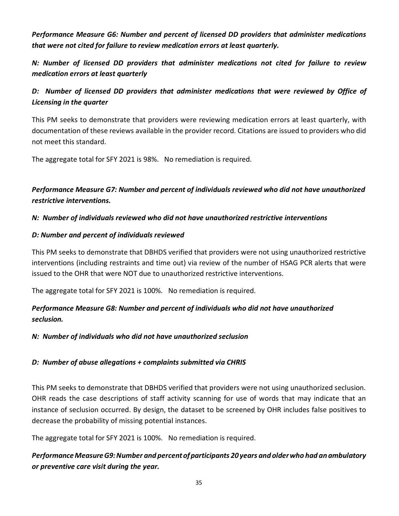*Performance Measure G6: Number and percent of licensed DD providers that administer medications that were not cited for failure to review medication errors at least quarterly.*

*N: Number of licensed DD providers that administer medications not cited for failure to review medication errors at least quarterly* 

# D: Number of licensed DD providers that administer medications that were reviewed by Office of *Licensing in the quarter*

This PM seeks to demonstrate that providers were reviewing medication errors at least quarterly, with documentation of these reviews available in the provider record. Citations are issued to providers who did not meet this standard.

The aggregate total for SFY 2021 is 98%. No remediation is required.

# *Performance Measure G7: Number and percent of individuals reviewed who did not have unauthorized restrictive interventions.*

### *N: Number of individuals reviewed who did not have unauthorized restrictive interventions*

### *D: Number and percent of individuals reviewed*

This PM seeks to demonstrate that DBHDS verified that providers were not using unauthorized restrictive interventions (including restraints and time out) via review of the number of HSAG PCR alerts that were issued to the OHR that were NOT due to unauthorized restrictive interventions.

The aggregate total for SFY 2021 is 100%. No remediation is required.

# *Performance Measure G8: Number and percent of individuals who did not have unauthorized seclusion.*

### *N: Number of individuals who did not have unauthorized seclusion*

# *D: Number of abuse allegations + complaints submitted via CHRIS*

This PM seeks to demonstrate that DBHDS verified that providers were not using unauthorized seclusion. OHR reads the case descriptions of staff activity scanning for use of words that may indicate that an instance of seclusion occurred. By design, the dataset to be screened by OHR includes false positives to decrease the probability of missing potential instances.

The aggregate total for SFY 2021 is 100%. No remediation is required.

# *PerformanceMeasureG9:Number and percent ofparticipants 20 years and olderwho had an ambulatory or preventive care visit during the year.*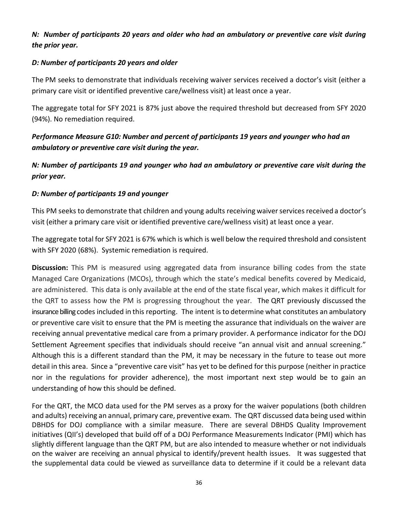# *N: Number of participants 20 years and older who had an ambulatory or preventive care visit during the prior year.*

### *D: Number of participants 20 years and older*

The PM seeks to demonstrate that individuals receiving waiver services received a doctor's visit (either a primary care visit or identified preventive care/wellness visit) at least once a year.

The aggregate total for SFY 2021 is 87% just above the required threshold but decreased from SFY 2020 (94%). No remediation required.

# *Performance Measure G10: Number and percent of participants 19 years and younger who had an ambulatory or preventive care visit during the year.*

*N: Number of participants 19 and younger who had an ambulatory or preventive care visit during the prior year.*

### *D: Number of participants 19 and younger*

This PM seeks to demonstrate that children and young adults receiving waiver services received a doctor's visit (either a primary care visit or identified preventive care/wellness visit) at least once a year.

The aggregate total for SFY 2021 is 67% which is which is well below the required threshold and consistent with SFY 2020 (68%). Systemic remediation is required.

**Discussion:** This PM is measured using aggregated data from insurance billing codes from the state Managed Care Organizations (MCOs), through which the state's medical benefits covered by Medicaid, are administered. This data is only available at the end of the state fiscal year, which makes it difficult for the QRT to assess how the PM is progressing throughout the year. The QRT previously discussed the insurance billing codes included in this reporting. The intent is to determine what constitutes an ambulatory or preventive care visit to ensure that the PM is meeting the assurance that individuals on the waiver are receiving annual preventative medical care from a primary provider. A performance indicator for the DOJ Settlement Agreement specifies that individuals should receive "an annual visit and annual screening." Although this is a different standard than the PM, it may be necessary in the future to tease out more detail in this area. Since a "preventive care visit" has yet to be defined for this purpose (neither in practice nor in the regulations for provider adherence), the most important next step would be to gain an understanding of how this should be defined.

For the QRT, the MCO data used for the PM serves as a proxy for the waiver populations (both children and adults) receiving an annual, primary care, preventive exam. The QRT discussed data being used within DBHDS for DOJ compliance with a similar measure. There are several DBHDS Quality Improvement initiatives (QII's) developed that build off of a DOJ Performance Measurements Indicator (PMI) which has slightly different language than the QRT PM, but are also intended to measure whether or not individuals on the waiver are receiving an annual physical to identify/prevent health issues. It was suggested that the supplemental data could be viewed as surveillance data to determine if it could be a relevant data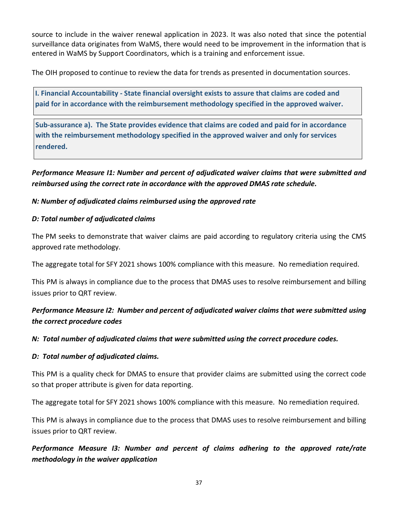source to include in the waiver renewal application in 2023. It was also noted that since the potential surveillance data originates from WaMS, there would need to be improvement in the information that is entered in WaMS by Support Coordinators, which is a training and enforcement issue.

The OIH proposed to continue to review the data for trends as presented in documentation sources.

**I. Financial Accountability - State financial oversight exists to assure that claims are coded and paid for in accordance with the reimbursement methodology specified in the approved waiver.**

**Sub-assurance a). The State provides evidence that claims are coded and paid for in accordance with the reimbursement methodology specified in the approved waiver and only for services rendered.**

*Performance Measure I1: Number and percent of adjudicated waiver claims that were submitted and reimbursed using the correct rate in accordance with the approved DMAS rate schedule.*

### *N: Number of adjudicated claims reimbursed using the approved rate*

### *D: Total number of adjudicated claims*

The PM seeks to demonstrate that waiver claims are paid according to regulatory criteria using the CMS approved rate methodology.

The aggregate total for SFY 2021 shows 100% compliance with this measure. No remediation required.

This PM is always in compliance due to the process that DMAS uses to resolve reimbursement and billing issues prior to QRT review.

# *Performance Measure I2: Number and percent of adjudicated waiver claims that were submitted using the correct procedure codes*

### *N: Total number of adjudicated claims that were submitted using the correct procedure codes.*

### *D: Total number of adjudicated claims.*

This PM is a quality check for DMAS to ensure that provider claims are submitted using the correct code so that proper attribute is given for data reporting.

The aggregate total for SFY 2021 shows 100% compliance with this measure. No remediation required.

This PM is always in compliance due to the process that DMAS uses to resolve reimbursement and billing issues prior to QRT review.

*Performance Measure I3: Number and percent of claims adhering to the approved rate/rate methodology in the waiver application*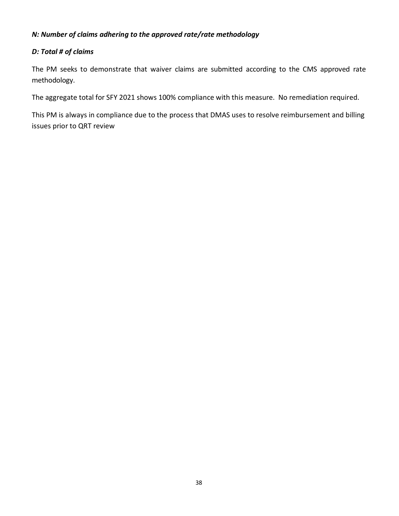### *N: Number of claims adhering to the approved rate/rate methodology*

### *D: Total # of claims*

The PM seeks to demonstrate that waiver claims are submitted according to the CMS approved rate methodology.

The aggregate total for SFY 2021 shows 100% compliance with this measure. No remediation required.

This PM is always in compliance due to the process that DMAS uses to resolve reimbursement and billing issues prior to QRT review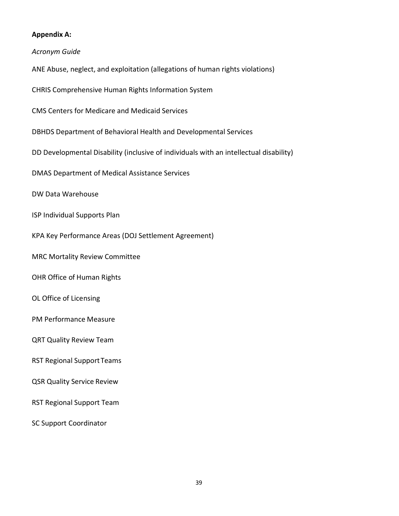#### **Appendix A:**

#### *Acronym Guide*

- ANE Abuse, neglect, and exploitation (allegations of human rights violations)
- CHRIS Comprehensive Human Rights Information System
- CMS Centers for Medicare and Medicaid Services
- DBHDS Department of Behavioral Health and Developmental Services
- DD Developmental Disability (inclusive of individuals with an intellectual disability)
- DMAS Department of Medical Assistance Services
- DW Data Warehouse
- ISP Individual Supports Plan
- KPA Key Performance Areas (DOJ Settlement Agreement)
- MRC Mortality Review Committee
- OHR Office of Human Rights
- OL Office of Licensing
- PM Performance Measure
- QRT Quality Review Team
- RST Regional Support Teams
- QSR Quality Service Review
- RST Regional Support Team
- SC Support Coordinator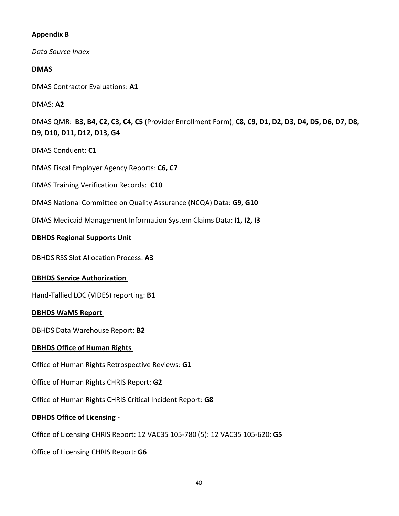#### **Appendix B**

*Data Source Index*

### **DMAS**

DMAS Contractor Evaluations: **A1**

### DMAS: **A2**

DMAS QMR: **B3, B4, C2, C3, C4, C5** (Provider Enrollment Form), **C8, C9, D1, D2, D3, D4, D5, D6, D7, D8, D9, D10, D11, D12, D13, G4**

DMAS Conduent: **C1**

DMAS Fiscal Employer Agency Reports: **C6, C7**

DMAS Training Verification Records: **C10**

- DMAS National Committee on Quality Assurance (NCQA) Data: **G9, G10**
- DMAS Medicaid Management Information System Claims Data: **I1, I2, I3**

# **DBHDS Regional Supports Unit**

DBHDS RSS Slot Allocation Process: **A3**

# **DBHDS Service Authorization**

Hand-Tallied LOC (VIDES) reporting: **B1** 

### **DBHDS WaMS Report**

DBHDS Data Warehouse Report: **B2**

# **DBHDS Office of Human Rights**

Office of Human Rights Retrospective Reviews: **G1**

Office of Human Rights CHRIS Report: **G2** 

Office of Human Rights CHRIS Critical Incident Report: **G8**

# **DBHDS Office of Licensing -**

Office of Licensing CHRIS Report: 12 VAC35 105-780 (5): 12 VAC35 105-620: **G5**

Office of Licensing CHRIS Report: **G6**